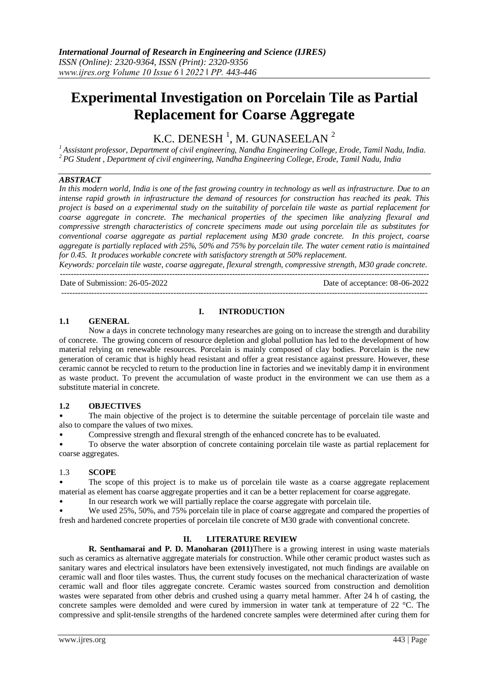# **Experimental Investigation on Porcelain Tile as Partial Replacement for Coarse Aggregate**

K.C. DENESH $<sup>1</sup>$ , M. GUNASEELAN $<sup>2</sup>$ </sup></sup>

*<sup>1</sup> Assistant professor, Department of civil engineering, Nandha Engineering College, Erode, Tamil Nadu, India. <sup>2</sup> PG Student , Department of civil engineering, Nandha Engineering College, Erode, Tamil Nadu, India*

## *ABSTRACT*

In this modern world, India is one of the fast growing country in technology as well as infrastructure. Due to an *intense rapid growth in infrastructure the demand of resources for construction has reached its peak. This project is based on a experimental study on the suitability of porcelain tile waste as partial replacement for coarse aggregate in concrete. The mechanical properties of the specimen like analyzing flexural and compressive strength characteristics of concrete specimens made out using porcelain tile as substitutes for conventional coarse aggregate as partial replacement using M30 grade concrete. In this project, coarse aggregate is partially replaced with 25%, 50% and 75% by porcelain tile. The water cement ratio is maintained for 0.45. It produces workable concrete with satisfactory strength at 50% replacement.* 

*Keywords: porcelain tile waste, coarse aggregate, flexural strength, compressive strength, M30 grade concrete.* ---------------------------------------------------------------------------------------------------------------------------------------

Date of Submission: 26-05-2022 Date of acceptance: 08-06-2022

--------------------------------------------------------------------------------------------------------------------------------------

#### **I. INTRODUCTION**

## **1.1 GENERAL**

Now a days in concrete technology many researches are going on to increase the strength and durability of concrete. The growing concern of resource depletion and global pollution has led to the development of how material relying on renewable resources. Porcelain is mainly composed of clay bodies. Porcelain is the new generation of ceramic that is highly head resistant and offer a great resistance against pressure. However, these ceramic cannot be recycled to return to the production line in factories and we inevitably damp it in environment as waste product. To prevent the accumulation of waste product in the environment we can use them as a substitute material in concrete.

#### **1.2 OBJECTIVES**

• The main objective of the project is to determine the suitable percentage of porcelain tile waste and also to compare the values of two mixes.

• Compressive strength and flexural strength of the enhanced concrete has to be evaluated.

• To observe the water absorption of concrete containing porcelain tile waste as partial replacement for coarse aggregates.

# 1.3 **SCOPE**

The scope of this project is to make us of porcelain tile waste as a coarse aggregate replacement material as element has coarse aggregate properties and it can be a better replacement for coarse aggregate.

• In our research work we will partially replace the coarse aggregate with porcelain tile.

• We used 25%, 50%, and 75% porcelain tile in place of coarse aggregate and compared the properties of fresh and hardened concrete properties of porcelain tile concrete of M30 grade with conventional concrete.

## **II. LITERATURE REVIEW**

**R. Senthamarai and P. D. Manoharan (2011)**There is a growing interest in using waste materials such as ceramics as alternative aggregate materials for construction. While other ceramic product wastes such as sanitary wares and electrical insulators have been extensively investigated, not much findings are available on ceramic wall and floor tiles wastes. Thus, the current study focuses on the mechanical characterization of waste ceramic wall and floor tiles aggregate concrete. Ceramic wastes sourced from construction and demolition wastes were separated from other debris and crushed using a quarry metal hammer. After 24 h of casting, the concrete samples were demolded and were cured by immersion in water tank at temperature of 22 °C. The compressive and split-tensile strengths of the hardened concrete samples were determined after curing them for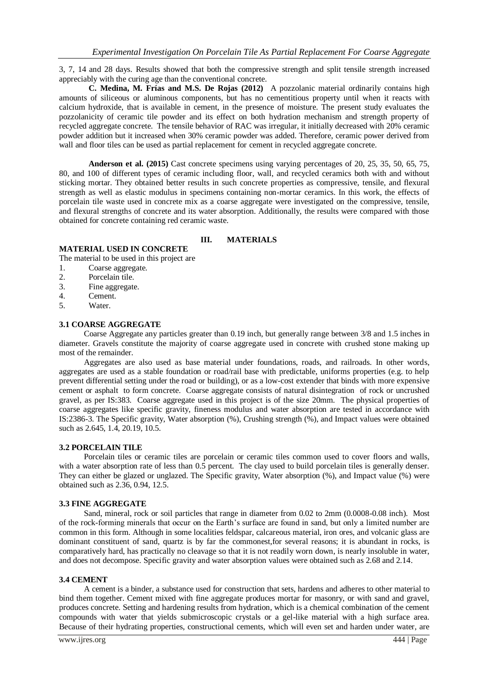3, 7, 14 and 28 days. Results showed that both the compressive strength and split tensile strength increased appreciably with the curing age than the conventional concrete.

**C. Medina, M. Frías and M.S. De Rojas (2012)** A pozzolanic material ordinarily contains high amounts of siliceous or aluminous components, but has no cementitious property until when it reacts with calcium hydroxide, that is available in cement, in the presence of moisture. The present study evaluates the pozzolanicity of ceramic tile powder and its effect on both hydration mechanism and strength property of recycled aggregate concrete. The tensile behavior of RAC was irregular, it initially decreased with 20% ceramic powder addition but it increased when 30% ceramic powder was added. Therefore, ceramic power derived from wall and floor tiles can be used as partial replacement for cement in recycled aggregate concrete.

**Anderson et al. (2015)** Cast concrete specimens using varying percentages of 20, 25, 35, 50, 65, 75, 80, and 100 of different types of ceramic including floor, wall, and recycled ceramics both with and without sticking mortar. They obtained better results in such concrete properties as compressive, tensile, and flexural strength as well as elastic modulus in specimens containing non-mortar ceramics. In this work, the effects of porcelain tile waste used in concrete mix as a coarse aggregate were investigated on the compressive, tensile, and flexural strengths of concrete and its water absorption. Additionally, the results were compared with those obtained for concrete containing red ceramic waste.

## **III. MATERIALS**

# **MATERIAL USED IN CONCRETE**

The material to be used in this project are

- 1. Coarse aggregate.
- 2. Porcelain tile.
- 3. Fine aggregate.
- 4. Cement.
- 5. Water.

#### **3.1 COARSE AGGREGATE**

 Coarse Aggregate any particles greater than 0.19 inch, but generally range between 3/8 and 1.5 inches in diameter. Gravels constitute the majority of coarse aggregate used in concrete with crushed stone making up most of the remainder.

 Aggregates are also used as base material under foundations, roads, and railroads. In other words, aggregates are used as a stable foundation or road/rail base with predictable, uniforms properties (e.g. to help prevent differential setting under the road or building), or as a low-cost extender that binds with more expensive cement or asphalt to form concrete. Coarse aggregate consists of natural disintegration of rock or uncrushed gravel, as per IS:383. Coarse aggregate used in this project is of the size 20mm. The physical properties of coarse aggregates like specific gravity, fineness modulus and water absorption are tested in accordance with IS:2386-3. The Specific gravity, Water absorption (%), Crushing strength (%), and Impact values were obtained such as 2.645, 1.4, 20.19, 10.5.

#### **3.2 PORCELAIN TILE**

 Porcelain tiles or ceramic tiles are porcelain or ceramic tiles common used to cover floors and walls, with a water absorption rate of less than 0.5 percent. The clay used to build porcelain tiles is generally denser. They can either be glazed or unglazed. The Specific gravity, Water absorption (%), and Impact value (%) were obtained such as 2.36, 0.94, 12.5.

#### **3.3 FINE AGGREGATE**

 Sand, mineral, rock or soil particles that range in diameter from 0.02 to 2mm (0.0008-0.08 inch). Most of the rock-forming minerals that occur on the Earth's surface are found in sand, but only a limited number are common in this form. Although in some localities feldspar, calcareous material, iron ores, and volcanic glass are dominant constituent of sand, quartz is by far the commonest,for several reasons; it is abundant in rocks, is comparatively hard, has practically no cleavage so that it is not readily worn down, is nearly insoluble in water, and does not decompose. Specific gravity and water absorption values were obtained such as 2.68 and 2.14.

## **3.4 CEMENT**

 A cement is a binder, a substance used for construction that sets, hardens and adheres to other material to bind them together. Cement mixed with fine aggregate produces mortar for masonry, or with sand and gravel, produces concrete. Setting and hardening results from hydration, which is a chemical combination of the cement compounds with water that yields submicroscopic crystals or a gel-like material with a high surface area. Because of their hydrating properties, constructional cements, which will even set and harden under water, are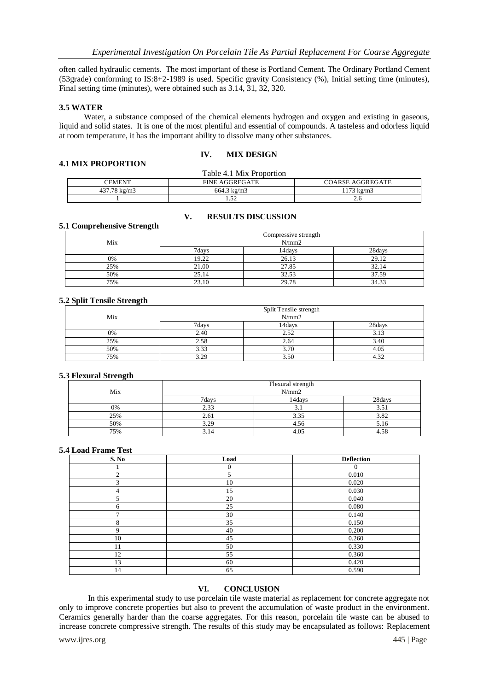often called hydraulic cements. The most important of these is Portland Cement. The Ordinary Portland Cement (53grade) conforming to IS:8+2-1989 is used. Specific gravity Consistency (%), Initial setting time (minutes), Final setting time (minutes), were obtained such as 3.14, 31, 32, 320.

#### **3.5 WATER**

 Water, a substance composed of the chemical elements hydrogen and oxygen and existing in gaseous, liquid and solid states. It is one of the most plentiful and essential of compounds. A tasteless and odorless liquid at room temperature, it has the important ability to dissolve many other substances.

#### **IV. MIX DESIGN**

## **4.1 MIX PROPORTION**

| Table 4.1 Mix Proportion |                        |                         |  |
|--------------------------|------------------------|-------------------------|--|
| CEMENT                   | <b>FINE AGGREGATE</b>  | <b>COARSE AGGREGATE</b> |  |
| 437.78 kg/m3             | $664.3 \text{ kg/m}$ 3 | 1173 kg/m3              |  |
|                          | 1.JZ                   |                         |  |

#### **V. RESULTS DISCUSSION**

#### **5.1 Comprehensive Strength**

|     | Compressive strength<br>N/mm2 |        |        |
|-----|-------------------------------|--------|--------|
| Mix |                               |        |        |
|     | 7days                         | 14days | 28days |
| 0%  | 19.22                         | 26.13  | 29.12  |
| 25% | 21.00                         | 27.85  | 32.14  |
| 50% | 25.14                         | 32.53  | 37.59  |
| 75% | 23.10                         | 29.78  | 34.33  |

## **5.2 Split Tensile Strength**

|     | Split Tensile strength<br>N/mm2 |        |        |
|-----|---------------------------------|--------|--------|
| Mix |                                 |        |        |
|     | 7days                           | 14davs | 28days |
| 0%  | 2.40                            | 2.52   | 3.13   |
| 25% | 2.58                            | 2.64   |        |
| 50% | 3.33                            | 3.70   |        |
| 75% | 3.29                            | 3.50   |        |

#### **5.3 Flexural Strength**

| Mix | Flexural strength<br>N/mm2 |        |        |
|-----|----------------------------|--------|--------|
|     | 7davs                      | 14days | 28days |
| 0%  | 2.33                       | .      | 5.51   |
| 25% | 2.61                       | 3.35   | 3.82   |
| 50% | 3.29                       | 4.56   | 5.16   |
| 75% | 3.14                       | 4.05   |        |

#### **5.4 Load Frame Test**

| S. No          | Load           | <b>Deflection</b> |
|----------------|----------------|-------------------|
|                | $\overline{0}$ | 0                 |
| $\overline{2}$ | 5              | 0.010             |
| 3              | 10             | 0.020             |
| 4              | 15             | 0.030             |
| 5              | 20             | 0.040             |
| 6              | 25             | 0.080             |
| ⇁              | 30             | 0.140             |
| 8              | 35             | 0.150             |
| 9              | 40             | 0.200             |
| 10             | 45             | 0.260             |
| 11             | 50             | 0.330             |
| 12             | 55             | 0.360             |
| 13             | 60             | 0.420             |
| 14             | 65             | 0.590             |

#### **VI. CONCLUSION**

 In this experimental study to use porcelain tile waste material as replacement for concrete aggregate not only to improve concrete properties but also to prevent the accumulation of waste product in the environment. Ceramics generally harder than the coarse aggregates. For this reason, porcelain tile waste can be abused to increase concrete compressive strength. The results of this study may be encapsulated as follows: Replacement